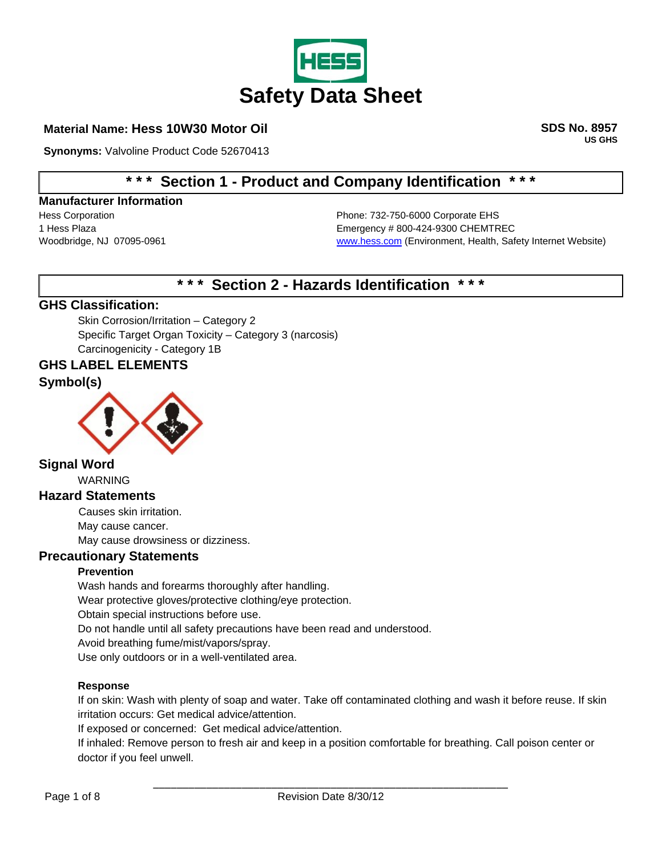

# **Material Name: Hess 10W30 Motor Oil SDS No. 8957**

**Synonyms:** Valvoline Product Code 52670413

**US GHS** 

# **\* \* \* Section 1 - Product and Company Identification \* \* \***

#### **Manufacturer Information**

Hess Corporation Phone: 732-750-6000 Corporate EHS 1 Hess Plaza **Emergency # 800-424-9300 CHEMTREC** Woodbridge, NJ 07095-0961 Woodbridge, NJ 07095-0961 [www.hess.com](http://www.hess.com/) (Environment, Health, Safety Internet Website)

# **\* \* \* Section 2 - Hazards Identification \* \* \***

# **GHS Classification:**

 Skin Corrosion/Irritation – Category 2 Specific Target Organ Toxicity – Category 3 (narcosis) Carcinogenicity - Category 1B

#### **GHS LABEL ELEMENTS**

#### **Symbol(s)**



# **Signal Word**

WARNING

### **Hazard Statements**

Causes skin irritation. May cause cancer. May cause drowsiness or dizziness.

#### **Precautionary Statements**

#### **Prevention**

Wash hands and forearms thoroughly after handling. Wear protective gloves/protective clothing/eye protection. Obtain special instructions before use. Do not handle until all safety precautions have been read and understood. Avoid breathing fume/mist/vapors/spray. Use only outdoors or in a well-ventilated area.

#### **Response**

If on skin: Wash with plenty of soap and water. Take off contaminated clothing and wash it before reuse. If skin irritation occurs: Get medical advice/attention.

If exposed or concerned: Get medical advice/attention.

If inhaled: Remove person to fresh air and keep in a position comfortable for breathing. Call poison center or doctor if you feel unwell.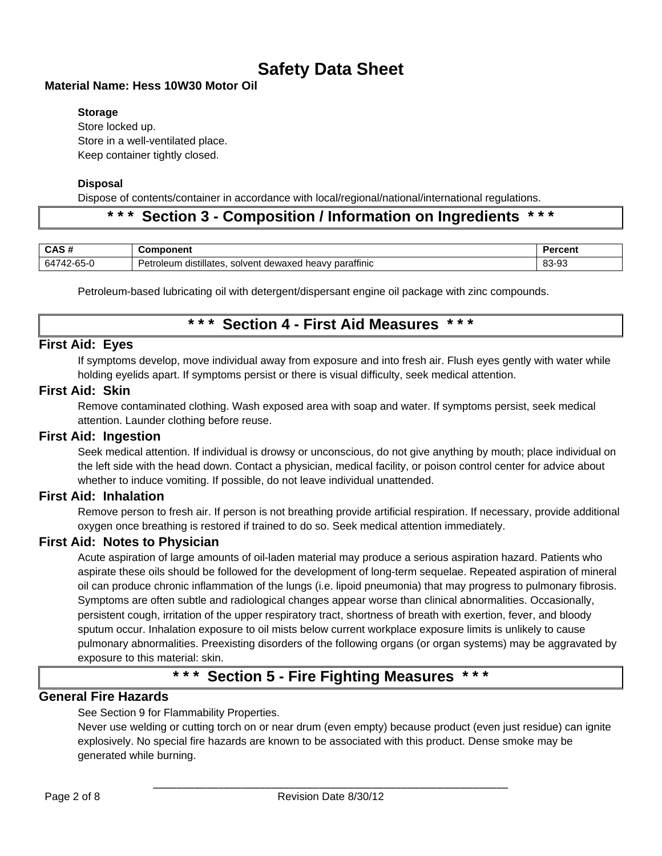# **Material Name: Hess 10W30 Motor Oil**

### **Storage**

Store locked up. Store in a well-ventilated place. Keep container tightly closed.

### **Disposal**

Dispose of contents/container in accordance with local/regional/national/international regulations.

# **\* \* \* Section 3 - Composition / Information on Ingredients \* \* \***

| CAS#       | omponent                                                        | Percent |
|------------|-----------------------------------------------------------------|---------|
| 64742-65-0 | Petroleum distillates.<br>I heavy paraffinic<br>solvent dewaxed | 83-93   |

Petroleum-based lubricating oil with detergent/dispersant engine oil package with zinc compounds.

# **\* \* \* Section 4 - First Aid Measures \* \* \***

# **First Aid: Eyes**

If symptoms develop, move individual away from exposure and into fresh air. Flush eyes gently with water while holding eyelids apart. If symptoms persist or there is visual difficulty, seek medical attention.

#### **First Aid: Skin**

Remove contaminated clothing. Wash exposed area with soap and water. If symptoms persist, seek medical attention. Launder clothing before reuse.

# **First Aid: Ingestion**

Seek medical attention. If individual is drowsy or unconscious, do not give anything by mouth; place individual on the left side with the head down. Contact a physician, medical facility, or poison control center for advice about whether to induce vomiting. If possible, do not leave individual unattended.

# **First Aid: Inhalation**

Remove person to fresh air. If person is not breathing provide artificial respiration. If necessary, provide additional oxygen once breathing is restored if trained to do so. Seek medical attention immediately.

# **First Aid: Notes to Physician**

Acute aspiration of large amounts of oil-laden material may produce a serious aspiration hazard. Patients who aspirate these oils should be followed for the development of long-term sequelae. Repeated aspiration of mineral oil can produce chronic inflammation of the lungs (i.e. lipoid pneumonia) that may progress to pulmonary fibrosis. Symptoms are often subtle and radiological changes appear worse than clinical abnormalities. Occasionally, persistent cough, irritation of the upper respiratory tract, shortness of breath with exertion, fever, and bloody sputum occur. Inhalation exposure to oil mists below current workplace exposure limits is unlikely to cause pulmonary abnormalities. Preexisting disorders of the following organs (or organ systems) may be aggravated by exposure to this material: skin.

# **\* \* \* Section 5 - Fire Fighting Measures \* \* \***

# **General Fire Hazards**

See Section 9 for Flammability Properties.

Never use welding or cutting torch on or near drum (even empty) because product (even just residue) can ignite explosively. No special fire hazards are known to be associated with this product. Dense smoke may be generated while burning.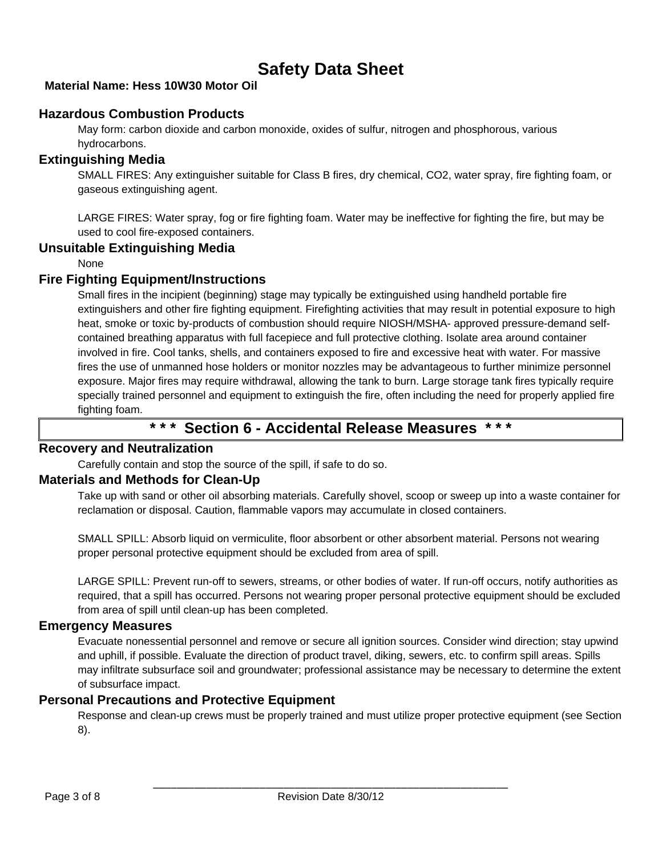# **Material Name: Hess 10W30 Motor Oil**

# **Hazardous Combustion Products**

May form: carbon dioxide and carbon monoxide, oxides of sulfur, nitrogen and phosphorous, various hydrocarbons.

# **Extinguishing Media**

SMALL FIRES: Any extinguisher suitable for Class B fires, dry chemical, CO2, water spray, fire fighting foam, or gaseous extinguishing agent.

LARGE FIRES: Water spray, fog or fire fighting foam. Water may be ineffective for fighting the fire, but may be used to cool fire-exposed containers.

# **Unsuitable Extinguishing Media**

None

# **Fire Fighting Equipment/Instructions**

Small fires in the incipient (beginning) stage may typically be extinguished using handheld portable fire extinguishers and other fire fighting equipment. Firefighting activities that may result in potential exposure to high heat, smoke or toxic by-products of combustion should require NIOSH/MSHA- approved pressure-demand selfcontained breathing apparatus with full facepiece and full protective clothing. Isolate area around container involved in fire. Cool tanks, shells, and containers exposed to fire and excessive heat with water. For massive fires the use of unmanned hose holders or monitor nozzles may be advantageous to further minimize personnel exposure. Major fires may require withdrawal, allowing the tank to burn. Large storage tank fires typically require specially trained personnel and equipment to extinguish the fire, often including the need for properly applied fire fighting foam.

# **\* \* \* Section 6 - Accidental Release Measures \* \* \***

# **Recovery and Neutralization**

Carefully contain and stop the source of the spill, if safe to do so.

# **Materials and Methods for Clean-Up**

Take up with sand or other oil absorbing materials. Carefully shovel, scoop or sweep up into a waste container for reclamation or disposal. Caution, flammable vapors may accumulate in closed containers.

SMALL SPILL: Absorb liquid on vermiculite, floor absorbent or other absorbent material. Persons not wearing proper personal protective equipment should be excluded from area of spill.

LARGE SPILL: Prevent run-off to sewers, streams, or other bodies of water. If run-off occurs, notify authorities as required, that a spill has occurred. Persons not wearing proper personal protective equipment should be excluded from area of spill until clean-up has been completed.

# **Emergency Measures**

Evacuate nonessential personnel and remove or secure all ignition sources. Consider wind direction; stay upwind and uphill, if possible. Evaluate the direction of product travel, diking, sewers, etc. to confirm spill areas. Spills may infiltrate subsurface soil and groundwater; professional assistance may be necessary to determine the extent of subsurface impact.

# **Personal Precautions and Protective Equipment**

Response and clean-up crews must be properly trained and must utilize proper protective equipment (see Section 8).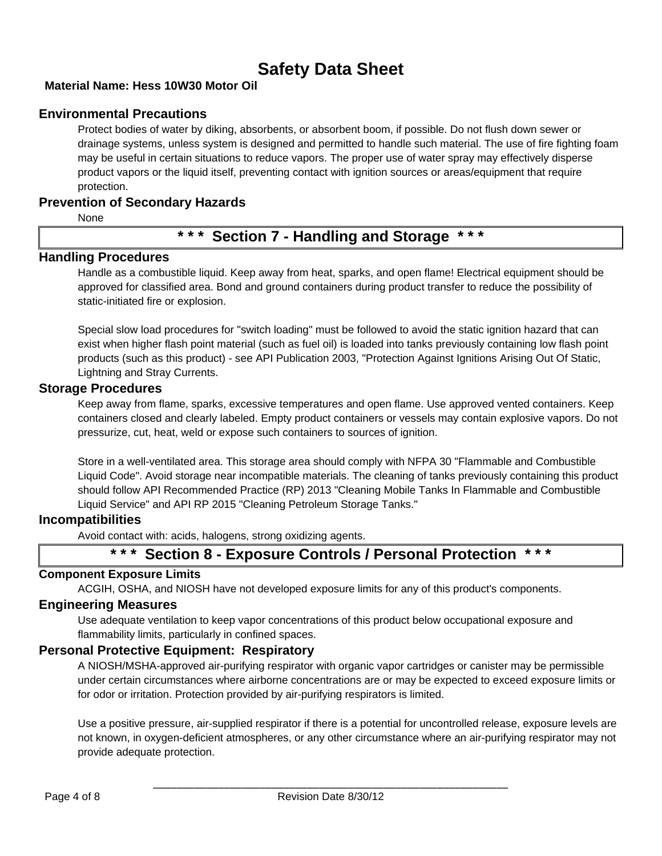# **Material Name: Hess 10W30 Motor Oil**

# **Environmental Precautions**

Protect bodies of water by diking, absorbents, or absorbent boom, if possible. Do not flush down sewer or drainage systems, unless system is designed and permitted to handle such material. The use of fire fighting foam may be useful in certain situations to reduce vapors. The proper use of water spray may effectively disperse product vapors or the liquid itself, preventing contact with ignition sources or areas/equipment that require protection.

#### **Prevention of Secondary Hazards**

None

# **\* \* \* Section 7 - Handling and Storage \* \* \***

#### **Handling Procedures**

Handle as a combustible liquid. Keep away from heat, sparks, and open flame! Electrical equipment should be approved for classified area. Bond and ground containers during product transfer to reduce the possibility of static-initiated fire or explosion.

Special slow load procedures for "switch loading" must be followed to avoid the static ignition hazard that can exist when higher flash point material (such as fuel oil) is loaded into tanks previously containing low flash point products (such as this product) - see API Publication 2003, "Protection Against Ignitions Arising Out Of Static, Lightning and Stray Currents.

#### **Storage Procedures**

Keep away from flame, sparks, excessive temperatures and open flame. Use approved vented containers. Keep containers closed and clearly labeled. Empty product containers or vessels may contain explosive vapors. Do not pressurize, cut, heat, weld or expose such containers to sources of ignition.

Store in a well-ventilated area. This storage area should comply with NFPA 30 "Flammable and Combustible Liquid Code". Avoid storage near incompatible materials. The cleaning of tanks previously containing this product should follow API Recommended Practice (RP) 2013 "Cleaning Mobile Tanks In Flammable and Combustible Liquid Service" and API RP 2015 "Cleaning Petroleum Storage Tanks."

#### **Incompatibilities**

Avoid contact with: acids, halogens, strong oxidizing agents.

# **\* \* \* Section 8 - Exposure Controls / Personal Protection \* \* \***

#### **Component Exposure Limits**

ACGIH, OSHA, and NIOSH have not developed exposure limits for any of this product's components.

#### **Engineering Measures**

Use adequate ventilation to keep vapor concentrations of this product below occupational exposure and flammability limits, particularly in confined spaces.

#### **Personal Protective Equipment: Respiratory**

A NIOSH/MSHA-approved air-purifying respirator with organic vapor cartridges or canister may be permissible under certain circumstances where airborne concentrations are or may be expected to exceed exposure limits or for odor or irritation. Protection provided by air-purifying respirators is limited.

Use a positive pressure, air-supplied respirator if there is a potential for uncontrolled release, exposure levels are not known, in oxygen-deficient atmospheres, or any other circumstance where an air-purifying respirator may not provide adequate protection.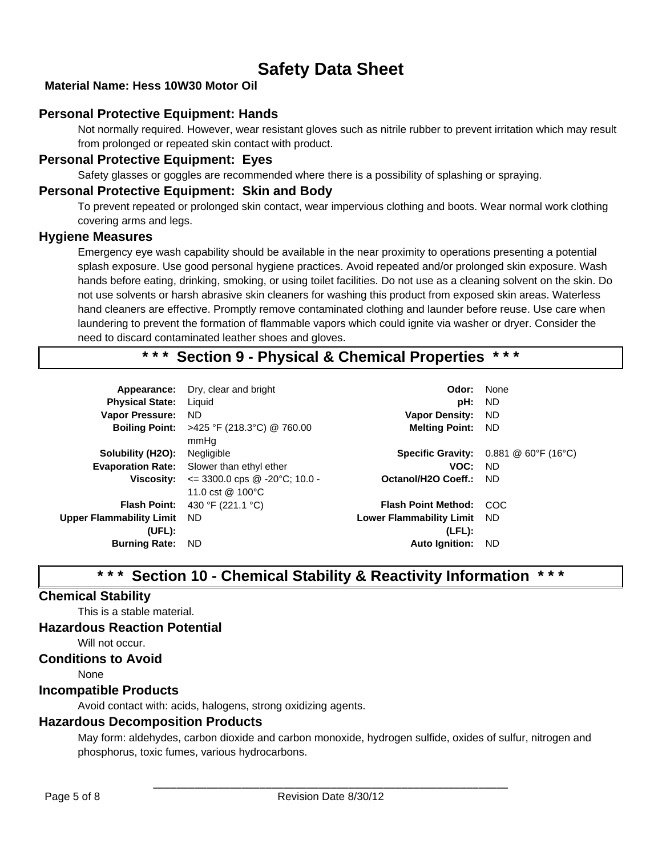# **Material Name: Hess 10W30 Motor Oil**

# **Personal Protective Equipment: Hands**

Not normally required. However, wear resistant gloves such as nitrile rubber to prevent irritation which may result from prolonged or repeated skin contact with product.

#### **Personal Protective Equipment: Eyes**

Safety glasses or goggles are recommended where there is a possibility of splashing or spraying.

#### **Personal Protective Equipment: Skin and Body**

To prevent repeated or prolonged skin contact, wear impervious clothing and boots. Wear normal work clothing covering arms and legs.

#### **Hygiene Measures**

Emergency eye wash capability should be available in the near proximity to operations presenting a potential splash exposure. Use good personal hygiene practices. Avoid repeated and/or prolonged skin exposure. Wash hands before eating, drinking, smoking, or using toilet facilities. Do not use as a cleaning solvent on the skin. Do not use solvents or harsh abrasive skin cleaners for washing this product from exposed skin areas. Waterless hand cleaners are effective. Promptly remove contaminated clothing and launder before reuse. Use care when laundering to prevent the formation of flammable vapors which could ignite via washer or dryer. Consider the need to discard contaminated leather shoes and gloves.

# **\* \* \* Section 9 - Physical & Chemical Properties \* \* \***

|                          | Appearance: Dry, clear and bright                              | Odor:                           | None                                                                       |
|--------------------------|----------------------------------------------------------------|---------------------------------|----------------------------------------------------------------------------|
| <b>Physical State:</b>   | Liguid                                                         | pH:                             | ND.                                                                        |
| <b>Vapor Pressure:</b>   | ND.                                                            | <b>Vapor Density:</b>           | ND.                                                                        |
|                          | <b>Boiling Point:</b> >425 °F (218.3°C) @ 760.00<br>mmHq       | <b>Melting Point:</b>           | - ND                                                                       |
| Solubility (H2O):        | Negligible                                                     |                                 | <b>Specific Gravity:</b> $0.881 \ @ 60^\circ \text{F} (16^\circ \text{C})$ |
|                          | <b>Evaporation Rate:</b> Slower than ethyl ether               | VOC:                            | - ND                                                                       |
| <b>Viscosity:</b>        | $\le$ 3300.0 cps @ -20°C; 10.0 -<br>11.0 cst @ $100^{\circ}$ C | Octanol/H2O Coeff.:             | - ND                                                                       |
| <b>Flash Point:</b>      | 430 °F (221.1 °C)                                              | <b>Flash Point Method:</b>      | COC.                                                                       |
| Upper Flammability Limit | ND.                                                            | <b>Lower Flammability Limit</b> | - ND                                                                       |
| (UEL):                   |                                                                | $(LFL)$ :                       |                                                                            |
| <b>Burning Rate:</b>     | ND.                                                            | <b>Auto Ignition:</b>           | ND.                                                                        |
|                          |                                                                |                                 |                                                                            |

# **\* \* \* Section 10 - Chemical Stability & Reactivity Information \* \* \***

# **Chemical Stability**

This is a stable material.

#### **Hazardous Reaction Potential**

Will not occur.

#### **Conditions to Avoid**

None

#### **Incompatible Products**

Avoid contact with: acids, halogens, strong oxidizing agents.

### **Hazardous Decomposition Products**

May form: aldehydes, carbon dioxide and carbon monoxide, hydrogen sulfide, oxides of sulfur, nitrogen and phosphorus, toxic fumes, various hydrocarbons.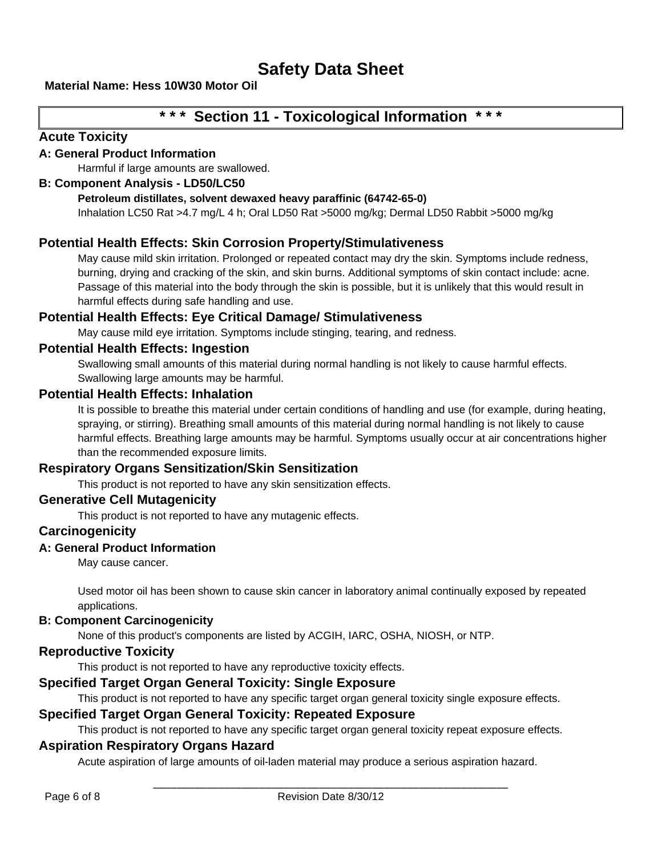# **Material Name: Hess 10W30 Motor Oil**

# **\* \* \* Section 11 - Toxicological Information \* \* \***

# **Acute Toxicity**

# **A: General Product Information**

Harmful if large amounts are swallowed.

# **B: Component Analysis - LD50/LC50**

#### **Petroleum distillates, solvent dewaxed heavy paraffinic (64742-65-0)**

Inhalation LC50 Rat >4.7 mg/L 4 h; Oral LD50 Rat >5000 mg/kg; Dermal LD50 Rabbit >5000 mg/kg

# **Potential Health Effects: Skin Corrosion Property/Stimulativeness**

May cause mild skin irritation. Prolonged or repeated contact may dry the skin. Symptoms include redness, burning, drying and cracking of the skin, and skin burns. Additional symptoms of skin contact include: acne. Passage of this material into the body through the skin is possible, but it is unlikely that this would result in harmful effects during safe handling and use.

# **Potential Health Effects: Eye Critical Damage/ Stimulativeness**

May cause mild eye irritation. Symptoms include stinging, tearing, and redness.

# **Potential Health Effects: Ingestion**

Swallowing small amounts of this material during normal handling is not likely to cause harmful effects. Swallowing large amounts may be harmful.

# **Potential Health Effects: Inhalation**

It is possible to breathe this material under certain conditions of handling and use (for example, during heating, spraying, or stirring). Breathing small amounts of this material during normal handling is not likely to cause harmful effects. Breathing large amounts may be harmful. Symptoms usually occur at air concentrations higher than the recommended exposure limits.

# **Respiratory Organs Sensitization/Skin Sensitization**

This product is not reported to have any skin sensitization effects.

# **Generative Cell Mutagenicity**

This product is not reported to have any mutagenic effects.

# **Carcinogenicity**

# **A: General Product Information**

May cause cancer.

Used motor oil has been shown to cause skin cancer in laboratory animal continually exposed by repeated applications.

# **B: Component Carcinogenicity**

None of this product's components are listed by ACGIH, IARC, OSHA, NIOSH, or NTP.

# **Reproductive Toxicity**

This product is not reported to have any reproductive toxicity effects.

# **Specified Target Organ General Toxicity: Single Exposure**

This product is not reported to have any specific target organ general toxicity single exposure effects.

# **Specified Target Organ General Toxicity: Repeated Exposure**

This product is not reported to have any specific target organ general toxicity repeat exposure effects.

# **Aspiration Respiratory Organs Hazard**

Acute aspiration of large amounts of oil-laden material may produce a serious aspiration hazard.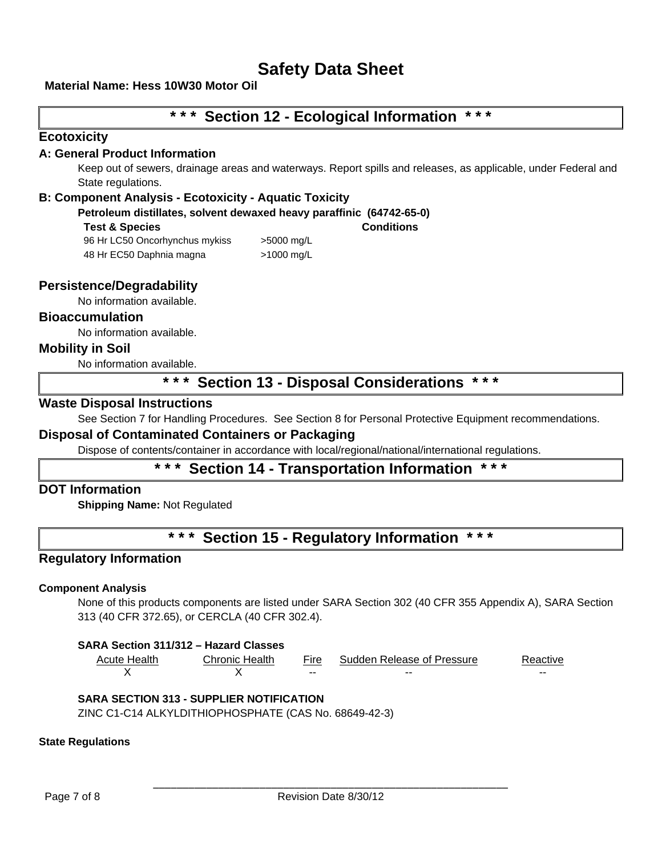#### **Material Name: Hess 10W30 Motor Oil**

# **\* \* \* Section 12 - Ecological Information \* \* \***

#### **Ecotoxicity**

#### **A: General Product Information**

Keep out of sewers, drainage areas and waterways. Report spills and releases, as applicable, under Federal and State regulations.

#### **B: Component Analysis - Ecotoxicity - Aquatic Toxicity**

**Petroleum distillates, solvent dewaxed heavy paraffinic (64742-65-0)**

**Test & Species Conditions**

96 Hr LC50 Oncorhynchus mykiss > 5000 mg/L 48 Hr EC50 Daphnia magna >1000 mg/L

# **Persistence/Degradability**

No information available.

**Bioaccumulation**

No information available.

#### **Mobility in Soil**

No information available.

# **\* \* \* Section 13 - Disposal Considerations \* \* \***

#### **Waste Disposal Instructions**

See Section 7 for Handling Procedures. See Section 8 for Personal Protective Equipment recommendations.

# **Disposal of Contaminated Containers or Packaging**

Dispose of contents/container in accordance with local/regional/national/international regulations.

# **Section 14 - Transportation Information**

# **DOT Information**

**Shipping Name:** Not Regulated

**\* \* \* Section 15 - Regulatory Information \* \* \*** 

# **Regulatory Information**

#### **Component Analysis**

None of this products components are listed under SARA Section 302 (40 CFR 355 Appendix A), SARA Section 313 (40 CFR 372.65), or CERCLA (40 CFR 302.4).

| Acute Health | Chronic Health | Fire  | Sudden Release of Pressure | Reactive |
|--------------|----------------|-------|----------------------------|----------|
|              |                | $- -$ | $- -$                      | $- -$    |

#### **SARA SECTION 313 - SUPPLIER NOTIFICATION**

ZINC C1-C14 ALKYLDITHIOPHOSPHATE (CAS No. 68649-42-3)

#### **State Regulations**